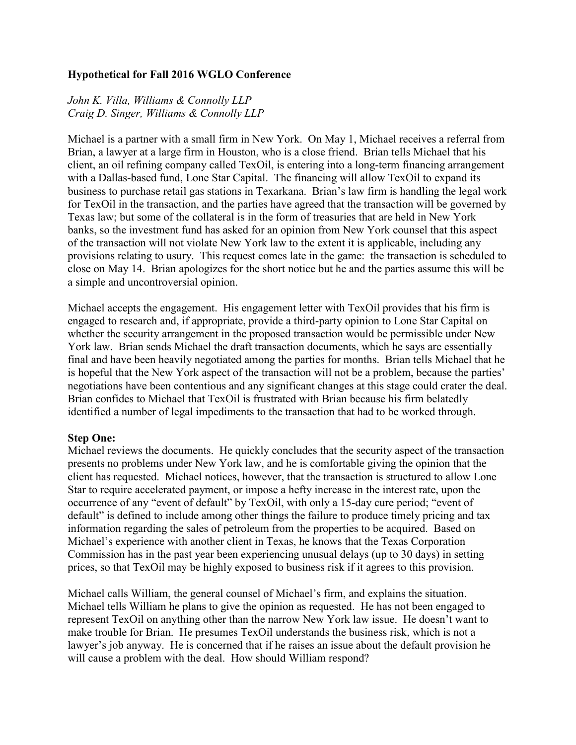## **Hypothetical for Fall 2016 WGLO Conference**

## *John K. Villa, Williams & Connolly LLP Craig D. Singer, Williams & Connolly LLP*

Michael is a partner with a small firm in New York. On May 1, Michael receives a referral from Brian, a lawyer at a large firm in Houston, who is a close friend. Brian tells Michael that his client, an oil refining company called TexOil, is entering into a long-term financing arrangement with a Dallas-based fund, Lone Star Capital. The financing will allow TexOil to expand its business to purchase retail gas stations in Texarkana. Brian's law firm is handling the legal work for TexOil in the transaction, and the parties have agreed that the transaction will be governed by Texas law; but some of the collateral is in the form of treasuries that are held in New York banks, so the investment fund has asked for an opinion from New York counsel that this aspect of the transaction will not violate New York law to the extent it is applicable, including any provisions relating to usury. This request comes late in the game: the transaction is scheduled to close on May 14. Brian apologizes for the short notice but he and the parties assume this will be a simple and uncontroversial opinion.

Michael accepts the engagement. His engagement letter with TexOil provides that his firm is engaged to research and, if appropriate, provide a third-party opinion to Lone Star Capital on whether the security arrangement in the proposed transaction would be permissible under New York law. Brian sends Michael the draft transaction documents, which he says are essentially final and have been heavily negotiated among the parties for months. Brian tells Michael that he is hopeful that the New York aspect of the transaction will not be a problem, because the parties' negotiations have been contentious and any significant changes at this stage could crater the deal. Brian confides to Michael that TexOil is frustrated with Brian because his firm belatedly identified a number of legal impediments to the transaction that had to be worked through.

## **Step One:**

Michael reviews the documents. He quickly concludes that the security aspect of the transaction presents no problems under New York law, and he is comfortable giving the opinion that the client has requested. Michael notices, however, that the transaction is structured to allow Lone Star to require accelerated payment, or impose a hefty increase in the interest rate, upon the occurrence of any "event of default" by TexOil, with only a 15-day cure period; "event of default" is defined to include among other things the failure to produce timely pricing and tax information regarding the sales of petroleum from the properties to be acquired. Based on Michael's experience with another client in Texas, he knows that the Texas Corporation Commission has in the past year been experiencing unusual delays (up to 30 days) in setting prices, so that TexOil may be highly exposed to business risk if it agrees to this provision.

Michael calls William, the general counsel of Michael's firm, and explains the situation. Michael tells William he plans to give the opinion as requested. He has not been engaged to represent TexOil on anything other than the narrow New York law issue. He doesn't want to make trouble for Brian. He presumes TexOil understands the business risk, which is not a lawyer's job anyway. He is concerned that if he raises an issue about the default provision he will cause a problem with the deal. How should William respond?